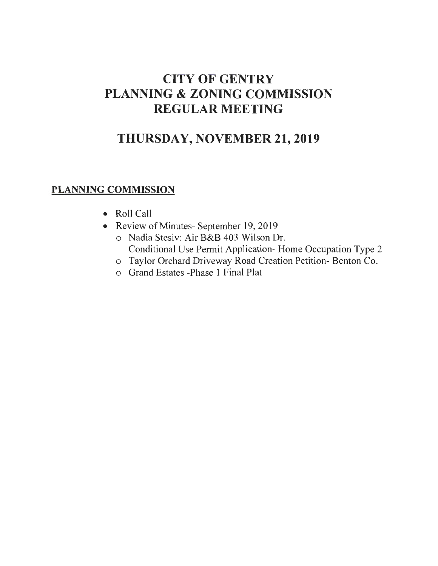# **CITY OF GENTRY PLANNING & ZONING COMMISSION REGULAR MEETING**

# **THURSDAY, NOVEMBER 21, 2019**

## **PLANNING COMMISSION**

- Roll Call
- Review of Minutes- September 19, 2019
	- o Nadia Stesiv: Air B&B 403 Wilson Dr. Conditional Use Permit Application- Home Occupation Type 2
	- o Taylor Orchard Driveway Road Creation Petition- Benton Co.
	- o Grand Estates -Phase 1 Final Plat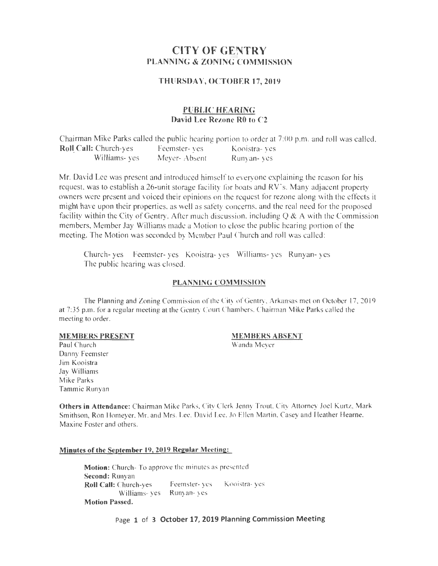## **CITY OF GENTRY PLANNING & ZONING COMMISSION**

#### **THURSDAY, OCTOBER 17, 2019**

#### **PUBLIC HEARING David Lee Rezone RO to C2**

Chairman Mike Parks called the public hearing portion to order at 7:00 p.m. and roll was called. **Roll Call:** Church-yes Feemster- yes Kooistra- yes Williams- yes Meyer-Absent Runyan- yes Meyer- Absent

Mr. David Lee was present and introduced himself to everyone explaining the reason for his request, was to establish a 26-unit storage facility for boats and RV's. Many adjacent property owners were present and voiced their opinions on the request for rezone along with the effects it might have upon their properties, as well as satety concems, and the real need for the proposed facility within the City of Gentry. After much discussion, including  $Q \& A$  with the Commission members, Member Jay Williams made a Motion to close the public hearing portion of the meeting. The Motion was seconded by Member Paul Church and roll was called:

Church- yes Feemster- yes Kooistra- yes Williams- yes Runyan- yes The public hearing was closed.

#### **PLANNING COMMISSION**

The Planning and Zoning Commission of the City of Gentry, Arkansas mel on October 17. 2019 at 7:35 p.m. for a regular meeting at the Gentry Court Chambers. Chairman Mike Parks called the meeting to order.

#### **MEMBERS PRESENT**

## **MEMBERS ABSENT**

Wanda Meyer

Paul Church Danny Feemster Jim Kooistra Jay Williams Mike Parks Tammie Runyan

**Others in Attendance:** Chairman Mike Parks. City Clerk Jenny Trout. City Attorney Joel Kmtz, Mark Smithson, Ron Homeyer, Mr. and Mrs. Lee. David Lee. Jo Ellen Martin. Casey and Heather Hearne. Maxine Foster and others.

#### **Minutes of the September 19, 2019 Regular Meeting:**

**Motion:** Church-To approve the minutes as presented **Second:** Runyan Roll Call: Church-yes Feemster-yes Kooistra-yes Williams- yes Runyan- yes **Motion Passed.** 

Page **1 of 3 October 17, 2019 Planning Commission Meeting**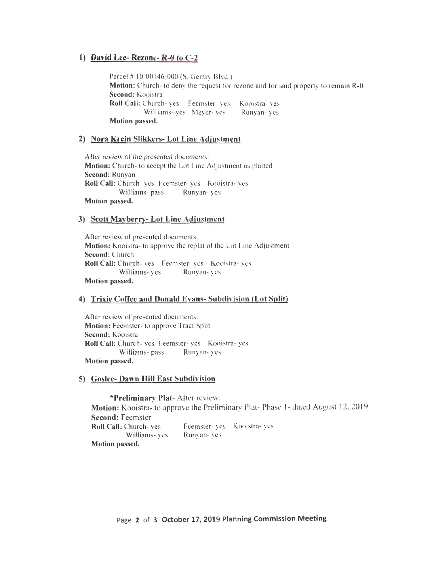#### **1) David Lee- Rezone- R-0 to C-2**

Parcel # 10-00146-000 (S. Gentry Blvd.) **Motion:** Church- to deny the request for rezone and for said property to remain R-0 **Second:** Kooistra Roll Call: Church- yes Feemster- yes Kooistra- yes Williams- yes Meyer- yes Runyan- yes **Motion passed.** 

#### **2) Nora Krein Slikkers- Lot Line Adjustment**

After review of *the* presented *documents:*  **Motion:** Church- to accept the Lot Line Adjustment as platted **Second:** Runyan Roll Call: Church- yes Feemster- yes Kooistra- yes Williams- pass Runyan- yes **Motion passed.** 

#### **3) Scott Mavberry- Lot Line Adjustment**

After review of presented documents: **Motion:** Kooistra- to approve the replat of the Lot Line Adjustment **Second:** Church **Roll Call:** Church- yes Feemster- yes Kooistra- yes Williams- yes Runyan- yes **Motion passed.** 

#### **4) Trixie Coffee and Donald Evans- Subdivision (Lot Split)**

After review of presented documents: **Motion: Feemster- to approve Tract Split Second:** Kooistra **Roll Call:** Church- yes Feemster- yes Kooistra- yes Williams- pass Runyan- yes **Motion passed.** 

#### **5) Goslee- Dawn Hill East Subdivision**

**\*Preliminary Plat-** After review:

**Motion:** Kooistra- to approve the Preliminary Plat- Phase 1- dated August 12,2019 **Second:** Feemster **Roll Call:** Church- yes Williams- yes **Motion passed.**  Feemster- yes Kooistra- yes Runyan- yes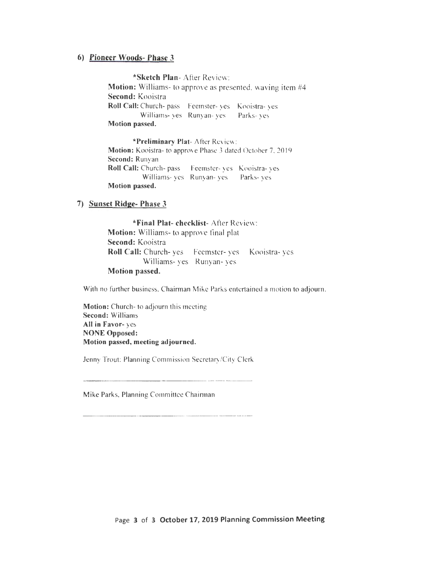#### **6) Pioneer Woods- Phase 3**

**\*Sketch Plan-** After Review: **Motion:** Williams- to approve as presented. waving item #4 **Second:** Kooistra Roll Call: Church- pass Feemster- yes Kooistra- yes Williams- ves Runyan- ves Parks- ves **Motion passed.** 

**\*Preliminary Plat-** After Review: **Motion:** Kooistra- to approve Phase 3 dated October 7. 2019 **Second:** Runyan **Roll Call:** Church- pass Feemster- ves Kooistra- yes Williams- yes Runyan- yes Parks- yes **Motion passed.** 

#### **7) Sunset Ridge- Phase 3**

**\*Final Plat- checklist-** After Review: **Motion:** Williams- to approve final plat **Second:** Kooistra **Roll Call:** Church- yes Feemster- yes Kooistra- yes Williams- yes Runyan- yes **Motion passed.** 

With no further business, Chairman Mike Parks entertained a motion to adjourn.

**Motion:** Church- to adjourn this meeting **Second:** Williams **All in Favor-** yes **NONE Opposed: Motion passed, meeting adjourned.** 

Jenny Trout: Planning Commission Secretary/City Clerk

Mike Parks, Planning Committee Chairman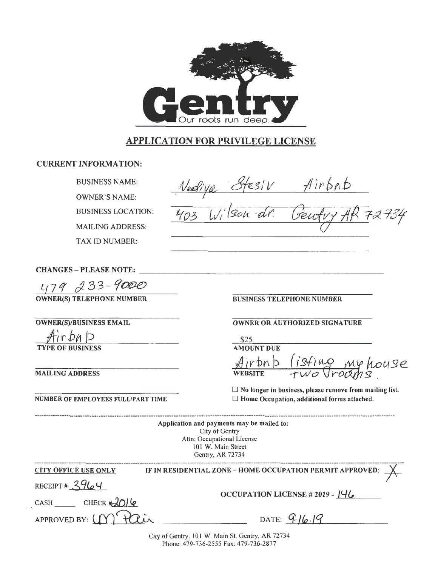

# APPLICATION FOR PRIVILEGE LICENSE

#### CURRENT INFORMATION:

BUSINESS NAME:

OWNER'S NAME:

BUSINESS LOCATION:

MAILING ADDRESS:

TAX ID NUMBER:

Airbab  $\epsilon s'_{i}V$  $11/5$ son dr.

CHANGES -- PLEASE NOTE:

 $L$ (79 233-9000

OWNER(S) TELEPHONE NUMBER

OWNER(S)/BUSINESS EMAIL

 $Airbn$  p TYPE OF BUSINESS

MAILlNG ADDRESS

NUMBER OF EMPLOYEES FULL/PART TIME

BUSINESS TELEPHONE NUMBER

#### OWNER OR AUTHORIZED SIGNATURE

\$25 AMOUNT DUE bnb (isti *h )* r y house  $WEBSITE$ 

 $\Box$  No longer in business, please remove from mailing list.  $\Box$  Home Occupation, additional forms attached.

Application and payments may be mailed to: City of Gentry Attn: Occupational License 101 W. Main Street Gentry, AR 72734

| <b>CITY OFFICE USE ONLY</b> | IF IN RESIDENTIAL ZONE – HOME OCCUPATION PERMIT APPROVED: $X$ |  |
|-----------------------------|---------------------------------------------------------------|--|
| RECEIPT # $3964$            | OCCUPATION LICENSE #2019 - $146$                              |  |
| $CASH$ CHECK $\#2O$         |                                                               |  |
| APPROVED BY: (M Pair        | DATE: $916.19$                                                |  |

City of Gentry, 101 W. Main St. Gentry, AR 72734 Phone: 479-736-2555 Fax: 479-736-2877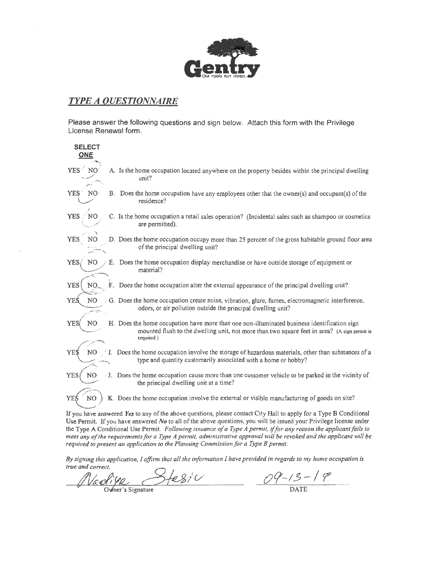

### *TYPE A QUESTIONNAIRE*

Please answer the following questions and sign below. Attach this form with the Privilege License Renewal form.

| <b>SELECT</b><br><b>ONE</b>  |                                                                                                                                                                                                           |
|------------------------------|-----------------------------------------------------------------------------------------------------------------------------------------------------------------------------------------------------------|
| YES <sup>7</sup>             | A. Is the home occupation located anywhere on the property besides within the principal dwelling<br>unit?                                                                                                 |
| <b>YES</b><br>NO.            | B. Does the home occupation have any employees other that the owner(s) and occupant(s) of the<br>residence?                                                                                               |
| <b>YES</b><br>N <sub>O</sub> | C. Is the home occupation a retail sales operation? (Incidental sales such as shampoo or cosmetics<br>are permitted).                                                                                     |
| <b>YES</b>                   | D. Does the home occupation occupy more than 25 percent of the gross habitable ground floor area<br>of the principal dwelling unit?                                                                       |
| YES <sub>i</sub><br>NO.      | E. Does the home occupation display merchandise or have outside storage of equipment or<br>material?                                                                                                      |
| <b>YES</b><br>NO.            | F. Does the home occupation alter the external appearance of the principal dwelling unit?                                                                                                                 |
| <b>YES</b><br>NO             | G. Does the home occupation create noise, vibration, glare, fumes, electromagnetic interference,<br>odors, or air pollution outside the principal dwelling unit?                                          |
| N <sub>O</sub><br><b>YES</b> | H. Does the home occupation have more than one non-illuminated business identification sign<br>mounted flush to the dwelling unit, not more than two square feet in area? (A sign pennit is<br>required.) |
| N <sub>O</sub><br>YEŚ        | Does the home occupation involve the storage of hazardous materials, other than substances of a<br>type and quantity customarily associated with a home or hobby?                                         |
| <b>YES</b><br>N <sub>O</sub> | $\geq$ J. Does the home occupation cause more than one customer vehicle to be parked in the vicinity of<br>the principal dwelling unit at a time?                                                         |
| YEŚ<br>NO                    | K. Does the home occupation involve the external or visible manufacturing of goods on site?                                                                                                               |
|                              | If you have answered Yes to any of the above questions, please contact City Hall to apply for a Type B Conditional                                                                                        |

Use Permit. If you have answered *No* to all of the above questions, you will be issued your Privilege license under the Type A Conditional Use Permit. *Following issuance of a Type A permit,* if *for any reason the applicant fails to meet any of the requirements for a Type A permit, administrative approval will be revoked and the applicant will be required to present an application to the Planning Commission for a Type B permit.* 

By signing this application, I affirm that all the information I have provided in regards to my home occupation is *true and correct.*<br>*By signing this application, I affirm that all the information I have provided in regards to my home of true and correct.*<br>  $\mathcal{N} \in \mathcal{A} \setminus \mathcal{Y} \mathcal{L} \longrightarrow \mathcal{A} \otimes \mathcal{Y} \cup \mathcal{A} \longrightarrow \mathcal{A} \otimes \mathcal{A} \cup \math$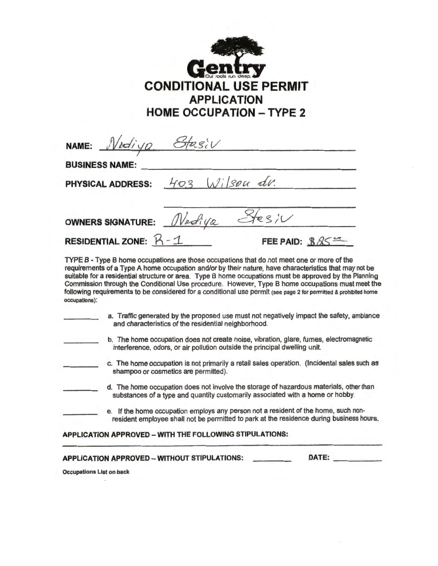

| NAME: Nediya Stasiv       |                                  |  |
|---------------------------|----------------------------------|--|
| <b>BUSINESS NAME:</b>     |                                  |  |
|                           | PHYSICAL ADDRESS: 403 Wilson du. |  |
|                           |                                  |  |
|                           | OWNERS SIGNATURE: Nediya Stesiv  |  |
| RESIDENTIAL ZONE: $R - 1$ | FEE PAID: $885$                  |  |

TYPE B - Type B home occupations are those occupations that do not meet one or more of the requirements of a Type A home occupation and/or by their nature, have characteristics that may not be suitable for a residential structure or area. Type B home occupations must be approved by the Planning Commission through the Conditional Use procedure. However, Type B home occupations must meet the following requirements to be considered for a conditional use permit (see page 2 for permitted & prohibited home occupations):

| a. Traffic generated by the proposed use must not negatively impact the safety, ambiance<br>and characteristics of the residential neighborhood.                     |
|----------------------------------------------------------------------------------------------------------------------------------------------------------------------|
| b. The home occupation does not create noise, vibration, glare, fumes, electromagnetic<br>interference, odors, or air pollution outside the principal dwelling unit. |
| c. The home occupation is not primarily a retail sales operation. (Incidental sales such as<br>shampoo or cosmetics are permitted).                                  |

- d. The home occupation does not involve the storage of hazardous materials, other than substances of a type and quantity customarily associated with a home or hobby.
- e. If the home occupation employs any person not a resident of the home, such nonresident employee shall not be permitted to park at the residence during business hours.

**APPLICATION APPROVED- WITH THE FOLLOWING STIPULATIONS:** 

| <b>APPLICATION APPROVED - WITHOUT STIPULATIONS:</b> | DATE: |
|-----------------------------------------------------|-------|

Occupations List on back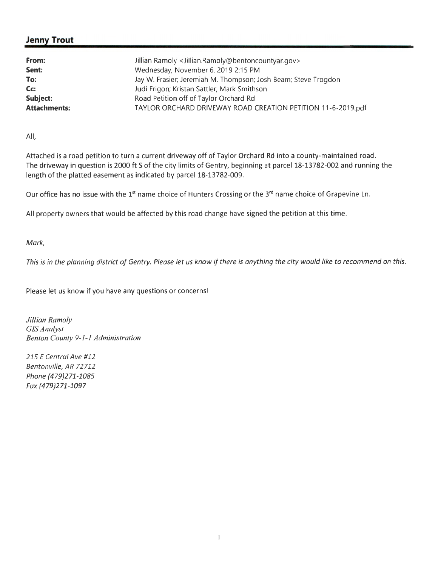### **Jenny Trout**

| From:               | Jillian Ramoly < Jillian.Ramoly@bentoncountyar.gov>            |
|---------------------|----------------------------------------------------------------|
| Sent:               | Wednesday, November 6, 2019 2:15 PM                            |
| To:                 | Jay W. Frasier; Jeremiah M. Thompson; Josh Beam; Steve Trogdon |
| Cc:                 | Judi Frigon; Kristan Sattler; Mark Smithson                    |
| Subject:            | Road Petition off of Taylor Orchard Rd                         |
| <b>Attachments:</b> | TAYLOR ORCHARD DRIVEWAY ROAD CREATION PETITION 11-6-2019.pdf   |

All,

Attached is a road petition to turn a current driveway off of Taylor Orchard Rd into a county-maintained road. The driveway in question is 2000 ft S of the city limits of Gentry, beginning at parcel 18-13782-002 and running the length of the platted easement as indicated by parcel 18-13782-009.

Our office has no issue with the 1<sup>st</sup> name choice of Hunters Crossing or the 3<sup>rd</sup> name choice of Grapevine Ln.

All property owners that would be affected by this road change have signed the petition at this time.

#### Mark,

This is in the planning district of Gentry. Please let us know if there is anything the city would like to recommend on this.

Please let us know if you have any questions or concerns!

*Jillian Ramoly GIS Analyst Benton County 9-1-1 Administration* 

215 E Central Ave #12 Bentonville, AR 72 712 Phone {479}271-1085 Fax {479}271 -1097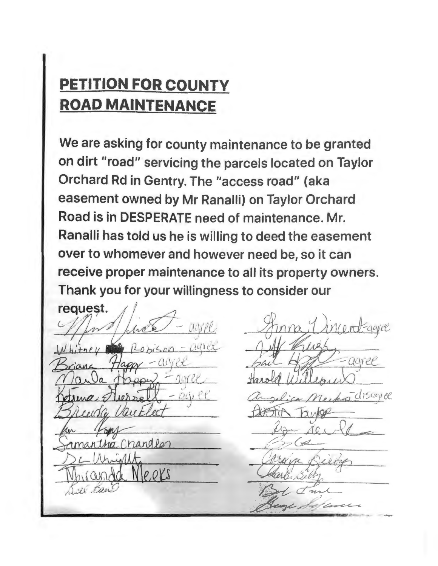# **PETITION FOR COUNTY ROAD MAINTENANCE**

We are asking for county maintenance to be granted on dirt "road" servicing the parcels located on Taylor Orchard Rd in Gentry. The "access road" (aka easement owned by Mr Ranalli) on Taylor Orchard Road is in DESPERATE need of maintenance. Mr. Ranalli has told us he is willing to deed the easement over to whomever and however need be, so it can receive proper maintenance to all its property owners. Thank you for your willingness to consider our

request.  $C_{\ell}/\ell$ nandla  $P.0YS$ Al Bac

Mentagree disagree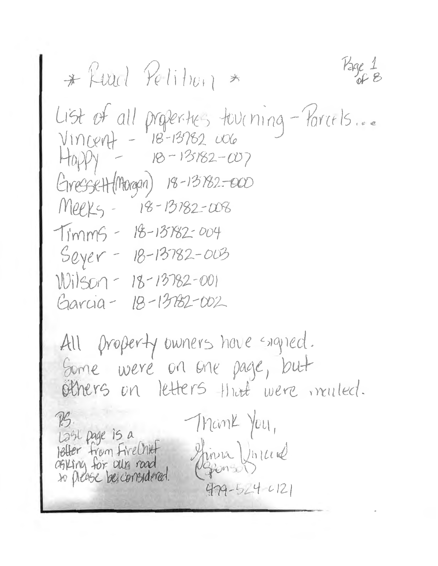$Page 1 8$ \* Read Petition \* List of all properties tourning-Parrels...  $H_{0}P_{1} - 18-13182-\omega$ Gressett (Morgan) 18-13782-000 Meeks - 18-13182-008 Timms - 18-13782-004  $Seyer - 18-13782-003$ Wilson-18-13782-001 Garcia - 18-13782-002

All property owners have signed. Some were on one page, but others on letters that were muled. Thank You, Last page is a retter from FireChief Shinza Uniced agking for our road  $479 - 524 - 121$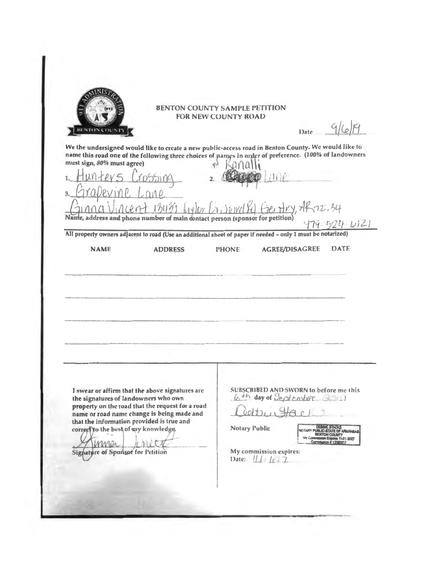

#### **BENTON COUNTY SAMPLE PETITION FOR NEW COUNTY ROAD**

Date

We the undersigned would like to create a new public-access road in Benton County. We would like to name this road one of the following three choices of panys in order of preference. (100% of landowners

must sign, 80% must agree)  $\frac{1}{2}$  $AR72.34$  $12071$  $1.61$ Name, address and phone number of main contact person (sponsor for petition)  $479.524.0121$ All property owners adjacent to road (Use an additional sheet of paper if needed - only 1 must be notarized) **NAME AGREE/DISAGREE** DATE **ADDRESS PHONE** SUBSCRIBED AND SWORN to before me this I swear or affirm that the above signatures are 6th day of Sectionher 2011 the signatures of landowners who own property on the road that the request for a road  $6000...$ name or road name change is being made and that the information provided is true and Notary Public correct to the best of my knowledge. **CTARY** 11-01-2027 MMir LYLLC My commission expires: Signature of Sponsor for Petition Date:  $|| \tfrac{1}{\epsilon} || \tfrac{1}{\epsilon}$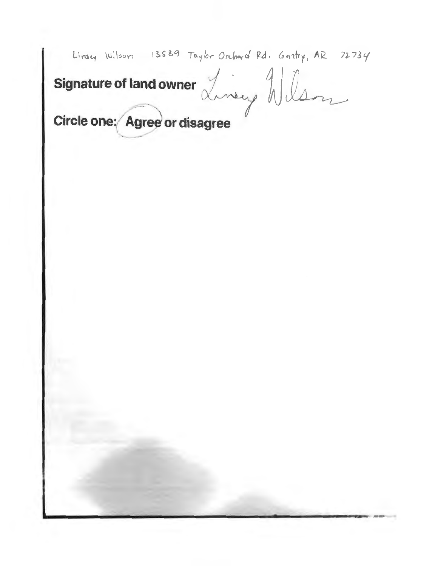Linsey Wilson 13539 Taylor Orchard Rd. Gentry, AR 72734

Signature of land owner Linery Wilson

Circle one: Agree or disagree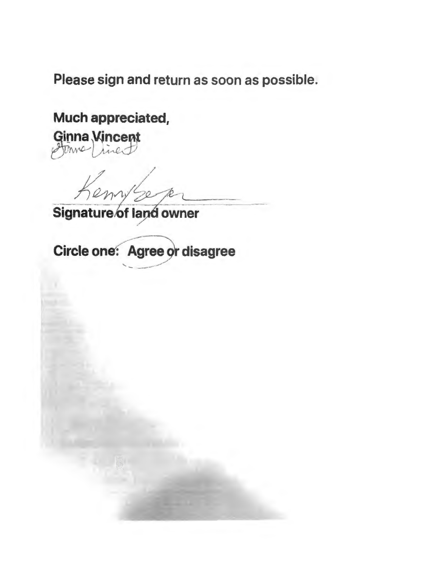Please sign and return as soon as possible.

Much appreciated,

**Ginna Vincent** 

Signature of land owner

Circle one: Agree or disagree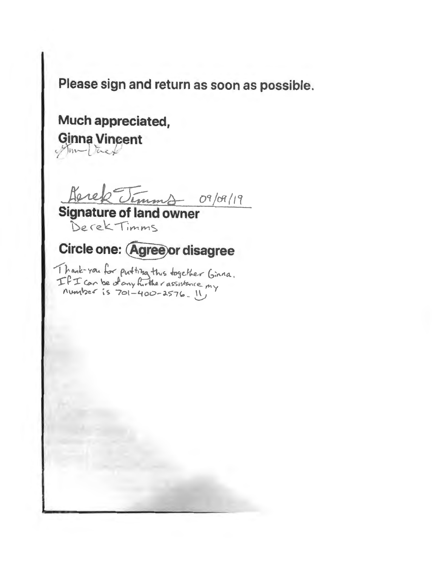Please sign and return as soon as possible.

# Much appreciated, Ginna Vincent

Derek Timms 09/09/19

Signature of land owner Derek Timms

# Circle one: Agree or disagree

I hank-you for put tizza this together Ginna.  $TFT$  can be dony further assistance my  $m$  where  $\frac{1}{5}$  701-400-2576. II,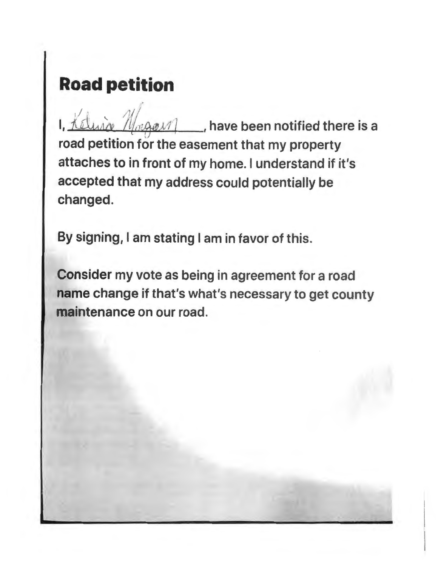# **Road petition**

I,  $\frac{1}{\sqrt{2}}$  , have been notified there is a road petition for the easement that my property attaches to in front of my home. I understand if it's accepted that my address could potentially be changed.

By signing, I am stating I am in favor of this.

Consider my vote as being in agreement for a road name change if that's what's necessary to get county maintenance on our road.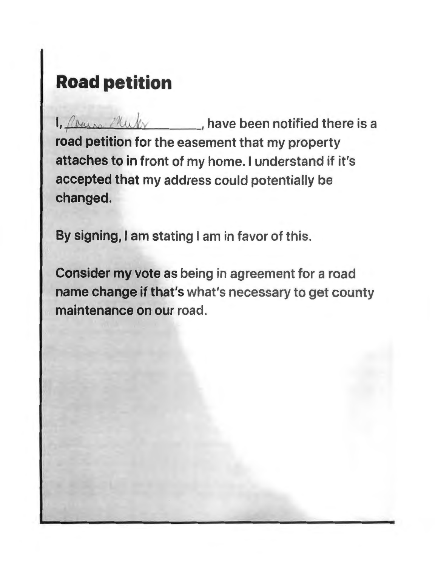# **Road petition**

I, *flowere <i>I* like *left* and **left** and **comparished** there is a road petition for the easement that my property attaches to in front of my home. I understand if it's accepted that my address could potentially be changed.

By signing, I am stating I am in favor of this.

Consider my vote as being in agreement for a road name change if that's what's necessary to get county maintenance on our road.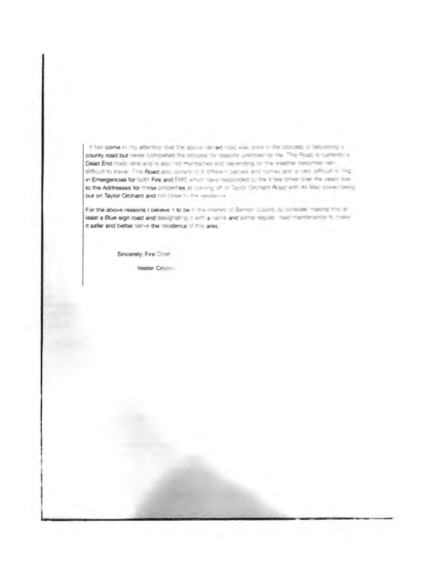If has come in my attention that the applies three must was once in the process of the pricounty road but more completed the process for research unertown to me. This Road is currently a Dead End road (and and is also not maintained and depending on the weather texturned remstrikut to travel. This Road will consec of a other couples and himsel and is new official to the in Emergencies for SUP. Fire and EME article rayin responded by the it has times plan the vestic butto the Addresses for thirse properties an outleting of in Taylor Orchard Anadi arthi 43 Mail power central out on Taylor Orchard and not close hit the resulter in-

For the above reasons I believe it to be in the interest of Semior Equation to contact mannia that in least a Blue sign road and designative in the case of and street and made market and his material it safer and better time the in idence of the area.

Sincerely, Fire Chief

Vester Cri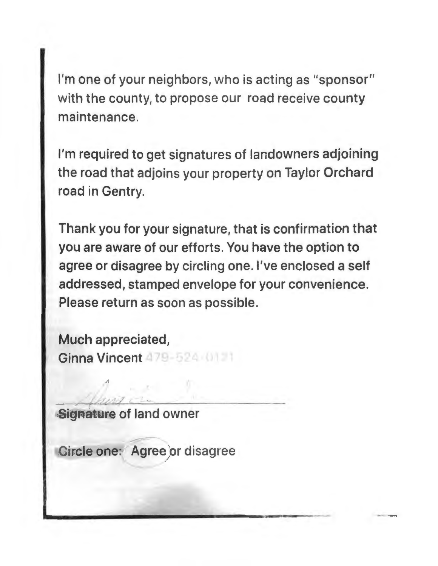I'm one of your neighbors, who is acting as "sponsor" with the county, to propose our road receive county maintenance.

I'm required to get signatures of landowners adjoining the road that adjoins your property on Taylor Orchard road in Gentry.

Thank you for your signature, that is confirmation that you are aware of our efforts. You have the option to agree or disagree by circling one. I've enclosed a self addressed, stamped envelope for your convenience. Please return as soon as possible.

Much appreciated, Ginna Vincent 479-524 ()

- part of Signature of land owner

Gircle one: Agree or disagree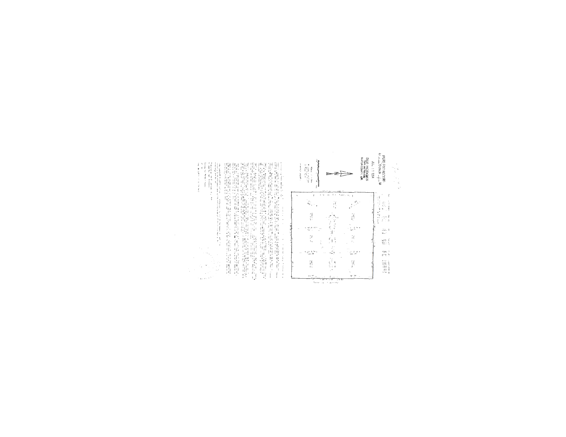

| レーサル Seleion へんこう コースカー | š | containing the common<br><b>The figures of the figure 2</b> | <br>● Sunnit State All Sunnit (All State) → Hotel All State State State State State State State State St | $\frac{1}{2}$ and $\frac{1}{2}$ and $\frac{1}{2}$ and $\frac{1}{2}$ and $\frac{1}{2}$ and $\frac{1}{2}$ and $\frac{1}{2}$ and $\frac{1}{2}$ and $\frac{1}{2}$ and $\frac{1}{2}$ and $\frac{1}{2}$ and $\frac{1}{2}$ and $\frac{1}{2}$ and $\frac{1}{2}$ and $\frac{1}{2}$ and $\frac{1}{2}$ a |
|-------------------------|---|-------------------------------------------------------------|----------------------------------------------------------------------------------------------------------|-----------------------------------------------------------------------------------------------------------------------------------------------------------------------------------------------------------------------------------------------------------------------------------------------|
|                         |   |                                                             |                                                                                                          |                                                                                                                                                                                                                                                                                               |
|                         |   |                                                             |                                                                                                          |                                                                                                                                                                                                                                                                                               |
|                         |   |                                                             |                                                                                                          |                                                                                                                                                                                                                                                                                               |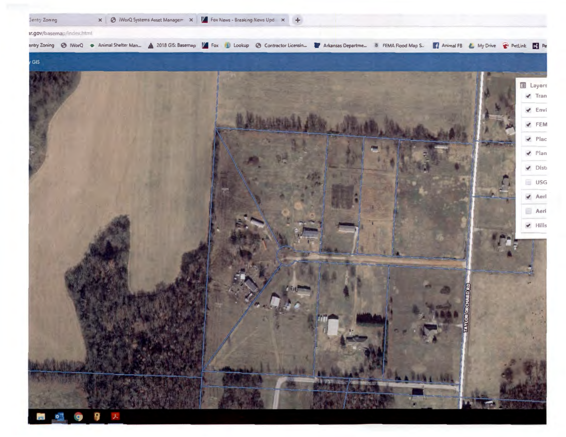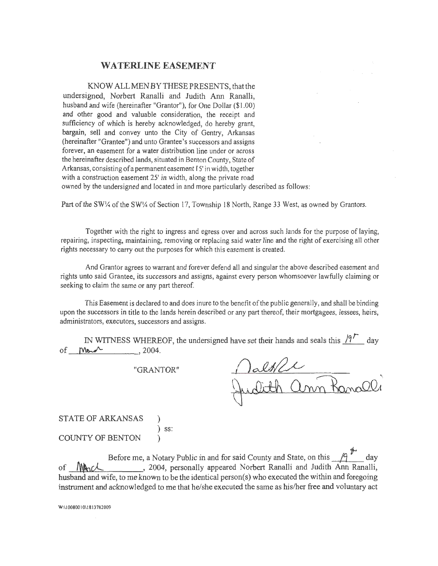#### **WATERLINE EASEMENT**

KNOW ALLMENBYTHESEPRESENTS, that the undersigned, Norbert Ranalli and Judith Ann Ranalli, husband and wife (hereinafter "Grantor"), for One Dollar (\$1.00) and other good and valuable consideration, the receipt and sufficiency of which is hereby acknowledged, do hereby grant, bargain, sell and convey unto the City of Gentry, Arkansas (hereinafter "Grantee") and unto Grantee's successors and assigns forever, an easement for a water distribution line under or across the hereinafter described lands, situated in Benton County, State of Arkansas, consisting of a permanent easement 15' in width, together with a construction easement 25' in width, along the private road owned by the undersigned and located in and more particularly described as follows:

Part of the SW1/4 of the SW1/4 of Section 17, Township 18 North, Range 33 West, as owned by Grantors.

Together with the right to ingress and egress over and across such lands for the purpose of laying, repairing, inspecting, maintaining, removing or replacing said water line and the right of exercising all other rights necessary to carry out the purposes for which this easement is created.

And Grantor agrees to warrant and forever defend all and singular the above described easement and rights unto said Grantee, its successors and assigns, against every person whomsoever lawfully claiming or seeking to claim the same or any part thereof.

This Easement is declared to and does inure to the benefit of the public generally, and shall be binding upon the successors in title to the lands herein described or any part thereof, their mortgagees, lessees, heirs, administrators, executors, successors and assigns.

|         |         | IN WITNESS WHEREOF, the undersigned have set their hands and seals this $\frac{19}{100}$ day |  |  |  |
|---------|---------|----------------------------------------------------------------------------------------------|--|--|--|
| of Mond | , 2004. |                                                                                              |  |  |  |

"GRANTOR"

STATE OF ARKANSAS ) ) ss: COUNTY OF BENTON )

Before me, a Notary Public in and for said County and State, on this  $\sqrt{9}$  day of **MACL**, 2004, personally appeared Norbert Ranalli and Judith Ann Ranalli, husband and wife, to me known to be the identical person(s) who executed the within and foregoing instrument and acknowledged to me that he/she executed the same as his/her free and voluntary act

W:\10080010\1813782009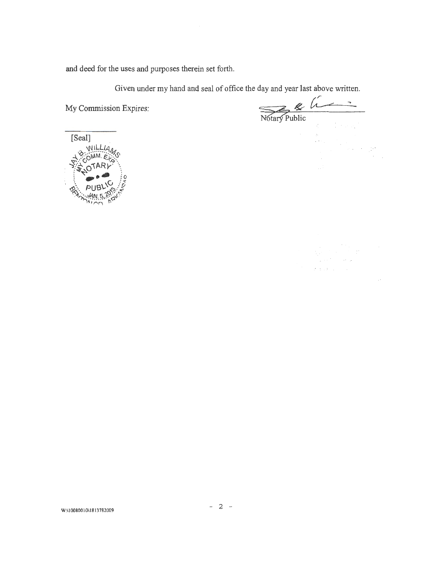and deed for the uses and purposes therein set forth.

Given under my hand and seal of office the day and year last above written.

My Commission Expires:

Notary Public

 $\bar{\omega}$  .

an Sirik<br>Linda (1993)<br>Sirika (1993)

 $\begin{aligned} \mathcal{L}_{\text{max}}^{\text{max}} & = \frac{1}{2} \sum_{i=1}^{2} \left( \frac{1}{2} \sum_{j=1}^{2} \left( \frac{1}{2} \right)^2 \right)^2 \left( \frac{1}{2} \right)^2 \\ & = \frac{1}{2} \sum_{i=1}^{2} \left( \frac{1}{2} \sum_{j=1}^{2} \left( \frac{1}{2} \right)^2 \right)^2 \left( \frac{1}{2} \right)^2 \\ & = \frac{1}{2} \sum_{j=1}^{2} \left( \frac{1}{2} \sum_{j=1}^{2} \left( \frac{1}{2} \right)^2 \$ 

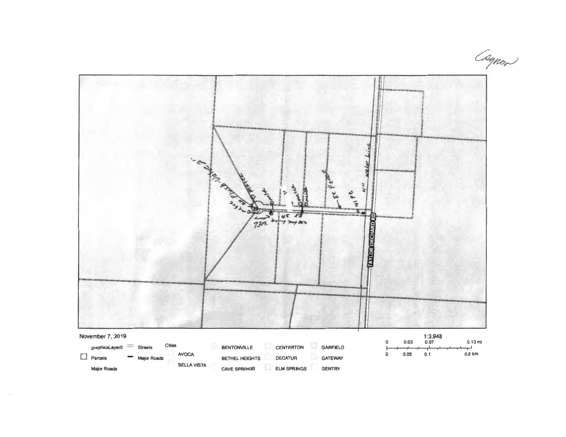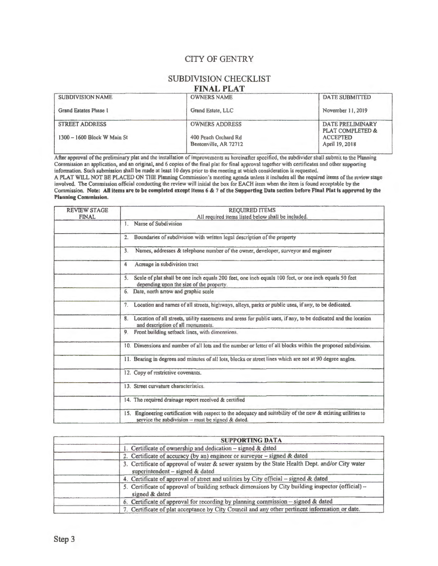### CITY OF GENTRY

### SUBDIVISION CHECKLIST

#### **FINAL PLAT**

| <b>SUBDIVISION NAME</b>     | <b>OWNERS NAME</b>    | <b>DATE SUBMITTED</b>                           |
|-----------------------------|-----------------------|-------------------------------------------------|
| Grand Estates Phase 1       | Grand Estate, LLC     | November 11, 2019                               |
| <b>STREET ADDRESS</b>       | <b>OWNERS ADDRESS</b> | DATE PRELIMINARY<br><b>PLAT COMPLETED &amp;</b> |
| 1300 - 1600 Block W Main St | 400 Peach Orchard Rd  | <b>ACCEPTED</b>                                 |
|                             | Bentonville, AR 72712 | April 19, 2018                                  |

After approval of the preliminary plat and the installation of improvements as hereinafter specified, the subdivider shall submit to the Planning Commission an application, and an original, and 6 copies of the final plat for final approval together with certificates and other supporting information. Such submission shall be made at least 10 days prior to the meeting at which consideration is requested.

A PLAT WILL NOT BE PLACED ON THE Planning Commission's meeting agenda unless it includes all the required items of the review stage involved. The Commission official conducting the review will initial the box for EACH item when the item is found acceptable by the Commission. Note: All items arc to be completed except items 6 & 7 of the Supporting Data section before Final Plat is approved by the Planning Commission.

| <b>REVIEW STAGE</b><br><b>FINAL</b> | <b>REQUIRED ITEMS</b>                                                                                                                                                   |
|-------------------------------------|-------------------------------------------------------------------------------------------------------------------------------------------------------------------------|
|                                     | All required items listed below shall be included.<br>Name of Subdivision<br>$\mathbf{1}$                                                                               |
|                                     | Boundaries of subdivision with written legal description of the property<br>2.                                                                                          |
|                                     | Names, addresses & telephone number of the owner, developer, surveyor and engineer<br>3.                                                                                |
|                                     | Acreage in subdivision tract<br>4                                                                                                                                       |
|                                     | Scale of plat shall be one inch equals 200 feet, one inch equals 100 feet, or one inch equals 50 feet<br>5.<br>depending upon the size of the property.                 |
|                                     | Date, north arrow and graphic scale<br>6.                                                                                                                               |
|                                     | Location and names of all streets, highways, alleys, parks or public uses, if any, to be dedicated.<br>7.                                                               |
|                                     | 8. Location of all streets, utility easements and areas for public uses, if any, to be dedicated and the location<br>and description of all monuments.                  |
|                                     | Front building setback lines, with dimensions.<br>9.                                                                                                                    |
|                                     | 10. Dimensions and number of all lots and the number or letter of all blocks within the proposed subdivision.                                                           |
|                                     | 11. Bearing in degrees and minutes of all lots, blocks or street lines which are not at 90 degree angles.                                                               |
|                                     | 12. Copy of restrictive covenants.                                                                                                                                      |
|                                     | 13. Street curvature characteristics.                                                                                                                                   |
|                                     | 14. The required drainage report received & certified                                                                                                                   |
|                                     | Engineering certification with respect to the adequacy and suitability of the new & existing utilities to<br>15.<br>service the subdivision $-$ must be signed & dated. |

| <b>SUPPORTING DATA</b>                                                                                                            |
|-----------------------------------------------------------------------------------------------------------------------------------|
| 1. Certificate of ownership and dedication – signed & dated                                                                       |
| 2. Certificate of accuracy (by an) engineer or surveyor - signed & dated                                                          |
| 3. Certificate of approval of water & sewer system by the State Health Dept. and/or City water<br>superintendent - signed & dated |
| 4. Certificate of approval of street and utilities by City official - signed & dated                                              |
| 5. Certificate of approval of building setback dimensions by City building inspector (official) --<br>signed & dated              |
| 6. Certificate of approval for recording by planning commission - signed & dated                                                  |
| 7. Certificate of plat acceptance by City Council and any other pertinent information or date.                                    |